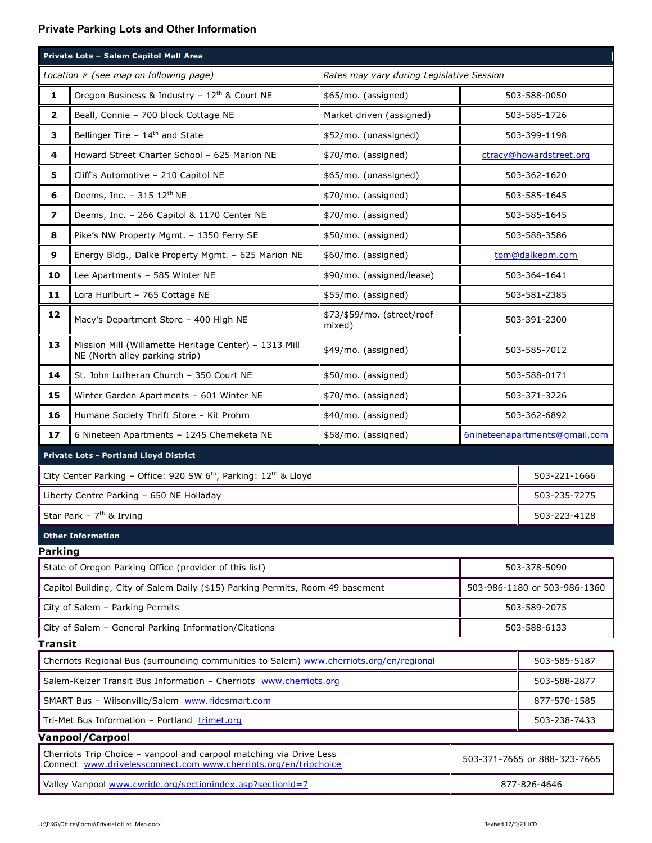## **Private Parking Lots and Other Information**

| Private Lots - Salem Capitol Mall Area                                                   |                                                                                         |                                      |                               |                              |  |
|------------------------------------------------------------------------------------------|-----------------------------------------------------------------------------------------|--------------------------------------|-------------------------------|------------------------------|--|
| Location # (see map on following page)<br>Rates may vary during Legislative Session      |                                                                                         |                                      |                               |                              |  |
| 1                                                                                        | Oregon Business & Industry - 12 <sup>th</sup> & Court NE                                | \$65/mo. (assigned)                  | 503-588-0050                  |                              |  |
| $\overline{\mathbf{2}}$                                                                  | Beall, Connie - 700 block Cottage NE                                                    | Market driven (assigned)             | 503-585-1726                  |                              |  |
| З                                                                                        | Bellinger Tire - 14 <sup>th</sup> and State                                             | \$52/mo. (unassigned)                | 503-399-1198                  |                              |  |
| 4                                                                                        | Howard Street Charter School - 625 Marion NE                                            | \$70/mo. (assigned)                  | ctracy@howardstreet.org       |                              |  |
| 5                                                                                        | Cliff's Automotive - 210 Capitol NE                                                     | \$65/mo. (unassigned)                | 503-362-1620                  |                              |  |
| 6                                                                                        | Deems, Inc. - 315 12th NE                                                               | \$70/mo. (assigned)                  | 503-585-1645                  |                              |  |
| $\overline{ }$                                                                           | Deems, Inc. - 266 Capitol & 1170 Center NE                                              | \$70/mo. (assigned)                  | 503-585-1645                  |                              |  |
| 8                                                                                        | Pike's NW Property Mgmt. - 1350 Ferry SE                                                | \$50/mo. (assigned)                  | 503-588-3586                  |                              |  |
| 9                                                                                        | Energy Bldg., Dalke Property Mgmt. - 625 Marion NE                                      | \$60/mo. (assigned)                  | tom@dalkepm.com               |                              |  |
| 10                                                                                       | Lee Apartments - 585 Winter NE                                                          | \$90/mo. (assigned/lease)            | 503-364-1641                  |                              |  |
| 11                                                                                       | Lora Hurlburt - 765 Cottage NE                                                          | \$55/mo. (assigned)                  | 503-581-2385                  |                              |  |
| 12                                                                                       | Macy's Department Store - 400 High NE                                                   | \$73/\$59/mo. (street/roof<br>mixed) | 503-391-2300                  |                              |  |
| 13                                                                                       | Mission Mill (Willamette Heritage Center) - 1313 Mill<br>NE (North alley parking strip) | \$49/mo. (assigned)                  | 503-585-7012                  |                              |  |
| 14                                                                                       | St. John Lutheran Church - 350 Court NE                                                 | \$50/mo. (assigned)                  | 503-588-0171                  |                              |  |
| 15                                                                                       | Winter Garden Apartments - 601 Winter NE                                                | \$70/mo. (assigned)                  | 503-371-3226                  |                              |  |
| 16                                                                                       | Humane Society Thrift Store - Kit Prohm                                                 | \$40/mo. (assigned)                  | 503-362-6892                  |                              |  |
| 17                                                                                       | 6 Nineteen Apartments - 1245 Chemeketa NE                                               | \$58/mo. (assigned)                  | 6nineteenapartments@gmail.com |                              |  |
| <b>Private Lots - Portland Lloyd District</b>                                            |                                                                                         |                                      |                               |                              |  |
| City Center Parking - Office: 920 SW 6 <sup>th</sup> , Parking: 12 <sup>th</sup> & Lloyd |                                                                                         |                                      |                               | 503-221-1666                 |  |
| Liberty Centre Parking - 650 NE Holladay                                                 |                                                                                         |                                      |                               | 503-235-7275                 |  |
| Star Park - $7th$ & Irving                                                               |                                                                                         |                                      |                               | 503-223-4128                 |  |
| <b>Other Information</b>                                                                 |                                                                                         |                                      |                               |                              |  |
| Parking                                                                                  |                                                                                         |                                      |                               |                              |  |
| State of Oregon Parking Office (provider of this list)                                   |                                                                                         |                                      |                               | 503-378-5090                 |  |
| Capitol Building, City of Salem Daily (\$15) Parking Permits, Room 49 basement           |                                                                                         |                                      |                               | 503-986-1180 or 503-986-1360 |  |
| City of Salem - Parking Permits                                                          |                                                                                         |                                      |                               | 503-589-2075                 |  |
| City of Salem - General Parking Information/Citations                                    |                                                                                         |                                      |                               | 503-588-6133                 |  |
| <b>Transit</b>                                                                           |                                                                                         |                                      |                               |                              |  |
| Cherriots Regional Bus (surrounding communities to Salem) www.cherriots.org/en/regional  |                                                                                         |                                      |                               | 503-585-5187                 |  |
| Salem-Keizer Transit Bus Information - Cherriots www.cherriots.org                       |                                                                                         |                                      |                               | 503-588-2877                 |  |
| SMART Bus - Wilsonville/Salem www.ridesmart.com                                          |                                                                                         |                                      |                               | 877-570-1585                 |  |
| Tri-Met Bus Information - Portland trimet.org<br>503-238-7433                            |                                                                                         |                                      |                               |                              |  |
| <b>Vanpool/Carpool</b>                                                                   |                                                                                         |                                      |                               |                              |  |

| <b>Cherriots Trip Choice - vanpool and carpool matching via Drive Less</b><br>Connect www.drivelessconnect.com www.cherriots.org/en/tripchoice | 503-371-7665 or 888-323-7665 |  |
|------------------------------------------------------------------------------------------------------------------------------------------------|------------------------------|--|
| Valley Vanpool www.cwride.org/sectionindex.asp?sectionid=7                                                                                     | 877-826-4646                 |  |